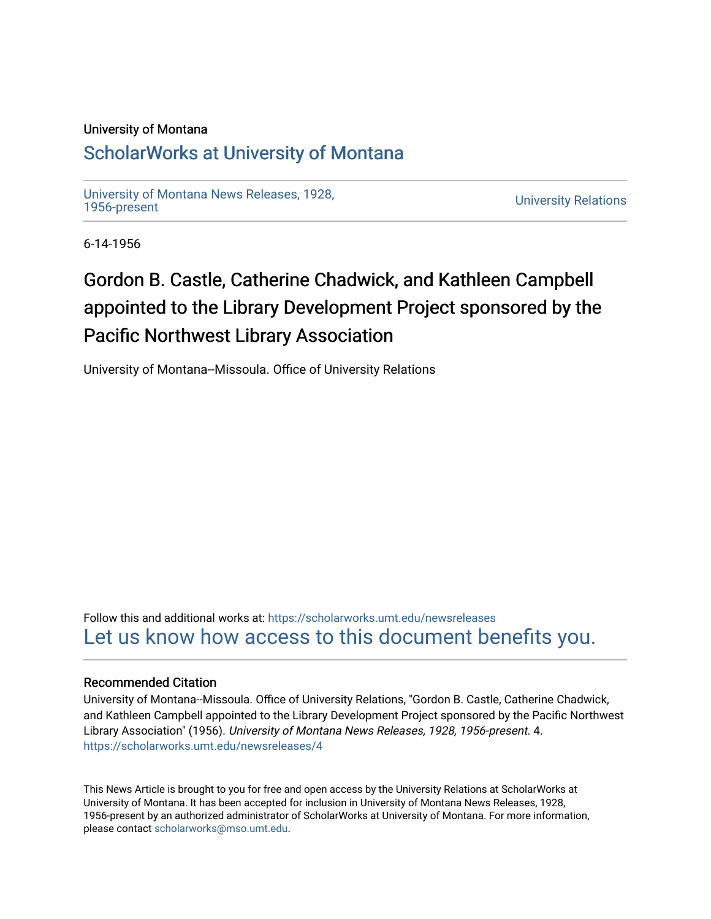#### University of Montana

## [ScholarWorks at University of Montana](https://scholarworks.umt.edu/)

[University of Montana News Releases, 1928,](https://scholarworks.umt.edu/newsreleases) 

**University Relations** 

6-14-1956

# Gordon B. Castle, Catherine Chadwick, and Kathleen Campbell appointed to the Library Development Project sponsored by the Pacific Northwest Library Association

University of Montana--Missoula. Office of University Relations

Follow this and additional works at: [https://scholarworks.umt.edu/newsreleases](https://scholarworks.umt.edu/newsreleases?utm_source=scholarworks.umt.edu%2Fnewsreleases%2F4&utm_medium=PDF&utm_campaign=PDFCoverPages) [Let us know how access to this document benefits you.](https://goo.gl/forms/s2rGfXOLzz71qgsB2) 

#### Recommended Citation

University of Montana--Missoula. Office of University Relations, "Gordon B. Castle, Catherine Chadwick, and Kathleen Campbell appointed to the Library Development Project sponsored by the Pacific Northwest Library Association" (1956). University of Montana News Releases, 1928, 1956-present. 4. [https://scholarworks.umt.edu/newsreleases/4](https://scholarworks.umt.edu/newsreleases/4?utm_source=scholarworks.umt.edu%2Fnewsreleases%2F4&utm_medium=PDF&utm_campaign=PDFCoverPages)

This News Article is brought to you for free and open access by the University Relations at ScholarWorks at University of Montana. It has been accepted for inclusion in University of Montana News Releases, 1928, 1956-present by an authorized administrator of ScholarWorks at University of Montana. For more information, please contact [scholarworks@mso.umt.edu.](mailto:scholarworks@mso.umt.edu)